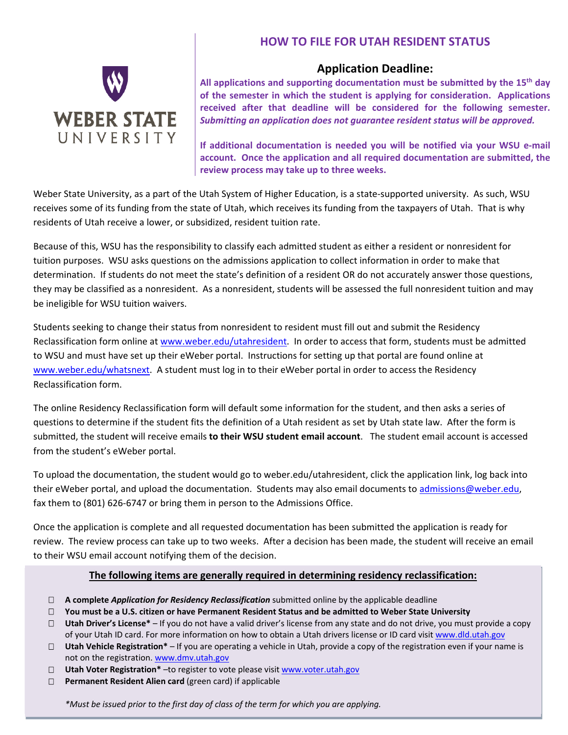

# **HOW TO FILE FOR UTAH RESIDENT STATUS**

# **Application Deadline:**

**All applications and supporting documentation must be submitted by the 15th day of the semester in which the student is applying for consideration. Applications received after that deadline will be considered for the following semester.**  *Submitting an application does not guarantee resident status will be approved.* 

**If additional documentation is needed you will be notified via your WSU e‐mail account. Once the application and all required documentation are submitted, the review process may take up to three weeks.**

Weber State University, as a part of the Utah System of Higher Education, is a state-supported university. As such, WSU receives some of its funding from the state of Utah, which receives its funding from the taxpayers of Utah. That is why residents of Utah receive a lower, or subsidized, resident tuition rate.

Because of this, WSU has the responsibility to classify each admitted student as either a resident or nonresident for tuition purposes. WSU asks questions on the admissions application to collect information in order to make that determination. If students do not meet the state's definition of a resident OR do not accurately answer those questions, they may be classified as a nonresident. As a nonresident, students will be assessed the full nonresident tuition and may be ineligible for WSU tuition waivers.

Students seeking to change their status from nonresident to resident must fill out and submit the Residency Reclassification form online at www.weber.edu/utahresident. In order to access that form, students must be admitted to WSU and must have set up their eWeber portal. Instructions for setting up that portal are found online at www.weber.edu/whatsnext. A student must log in to their eWeber portal in order to access the Residency Reclassification form.

The online Residency Reclassification form will default some information for the student, and then asks a series of questions to determine if the student fits the definition of a Utah resident as set by Utah state law. After the form is submitted, the student will receive emails **to their WSU student email account**. The student email account is accessed from the student's eWeber portal.

To upload the documentation, the student would go to weber.edu/utahresident, click the application link, log back into their eWeber portal, and upload the documentation. Students may also email documents to admissions@weber.edu, fax them to (801) 626-6747 or bring them in person to the Admissions Office.

Once the application is complete and all requested documentation has been submitted the application is ready for review. The review process can take up to two weeks. After a decision has been made, the student will receive an email to their WSU email account notifying them of the decision.

# **The following items are generally required in determining residency reclassification:**

- **A complete** *Application for Residency Reclassification* submitted online by the applicable deadline
- **You must be a U.S. citizen or have Permanent Resident Status and be admitted to Weber State University**
- **Utah Driver's License\*** If you do not have a valid driver's license from any state and do not drive, you must provide a copy of your Utah ID card. For more information on how to obtain a Utah drivers license or ID card visit www.dld.utah.gov
- **Utah Vehicle Registration\*** If you are operating a vehicle in Utah, provide a copy of the registration even if your name is not on the registration. www.dmv.utah.gov
- **Utah Voter Registration\*** –to register to vote please visit www.voter.utah.gov
- **Permanent Resident Alien card** (green card) if applicable

*\*Must be issued prior to the first day of class of the term for which you are applying.*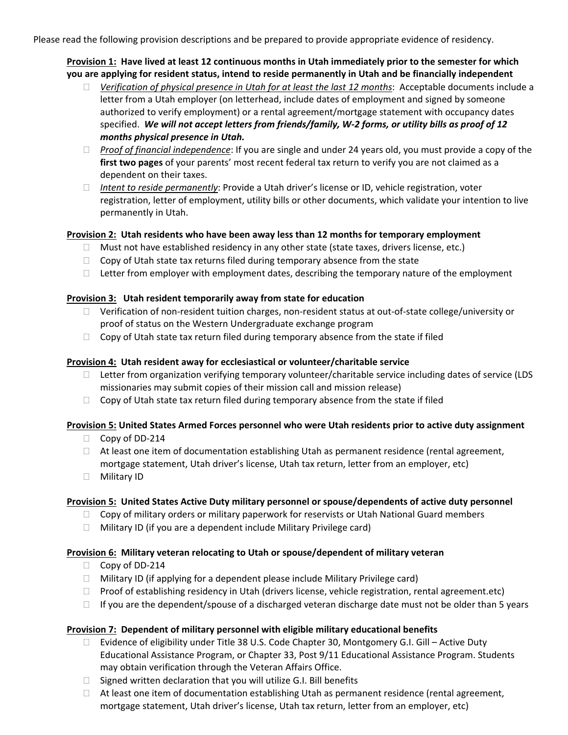Please read the following provision descriptions and be prepared to provide appropriate evidence of residency.

**Provision 1: Have lived at least 12 continuous months in Utah immediately prior to the semester for which you are applying for resident status, intend to reside permanently in Utah and be financially independent** 

- *Verification of physical presence in Utah for at least the last 12 months*: Acceptable documents include a letter from a Utah employer (on letterhead, include dates of employment and signed by someone authorized to verify employment) or a rental agreement/mortgage statement with occupancy dates specified. *We will not accept letters from friends/family, W‐2 forms, or utility bills as proof of 12 months physical presence in Utah.*
- *Proof of financial independence*: If you are single and under 24 years old, you must provide a copy of the **first two pages** of your parents' most recent federal tax return to verify you are not claimed as a dependent on their taxes.
- *Intent to reside permanently*: Provide a Utah driver's license or ID, vehicle registration, voter registration, letter of employment, utility bills or other documents, which validate your intention to live permanently in Utah.

## **Provision 2: Utah residents who have been away less than 12 months for temporary employment**

- $\Box$  Must not have established residency in any other state (state taxes, drivers license, etc.)
- $\Box$  Copy of Utah state tax returns filed during temporary absence from the state
- $\Box$  Letter from employer with employment dates, describing the temporary nature of the employment

#### **Provision 3: Utah resident temporarily away from state for education**

- □ Verification of non-resident tuition charges, non-resident status at out-of-state college/university or proof of status on the Western Undergraduate exchange program
- $\Box$  Copy of Utah state tax return filed during temporary absence from the state if filed

## **Provision 4: Utah resident away for ecclesiastical or volunteer/charitable service**

- $\Box$  Letter from organization verifying temporary volunteer/charitable service including dates of service (LDS missionaries may submit copies of their mission call and mission release)
- $\Box$  Copy of Utah state tax return filed during temporary absence from the state if filed

# **Provision 5: United States Armed Forces personnel who were Utah residents prior to active duty assignment**

- □ Copy of DD-214
- $\Box$  At least one item of documentation establishing Utah as permanent residence (rental agreement, mortgage statement, Utah driver's license, Utah tax return, letter from an employer, etc)
- Military ID

# **Provision 5: United States Active Duty military personnel or spouse/dependents of active duty personnel**

- $\Box$  Copy of military orders or military paperwork for reservists or Utah National Guard members
- $\Box$  Military ID (if you are a dependent include Military Privilege card)

#### **Provision 6: Military veteran relocating to Utah or spouse/dependent of military veteran**

- □ Copy of DD-214
- $\Box$  Military ID (if applying for a dependent please include Military Privilege card)
- □ Proof of establishing residency in Utah (drivers license, vehicle registration, rental agreement.etc)
- $\Box$  If you are the dependent/spouse of a discharged veteran discharge date must not be older than 5 years

#### **Provision 7: Dependent of military personnel with eligible military educational benefits**

- □ Evidence of eligibility under Title 38 U.S. Code Chapter 30, Montgomery G.I. Gill Active Duty Educational Assistance Program, or Chapter 33, Post 9/11 Educational Assistance Program. Students may obtain verification through the Veteran Affairs Office.
- $\Box$  Signed written declaration that you will utilize G.I. Bill benefits
- $\Box$  At least one item of documentation establishing Utah as permanent residence (rental agreement, mortgage statement, Utah driver's license, Utah tax return, letter from an employer, etc)